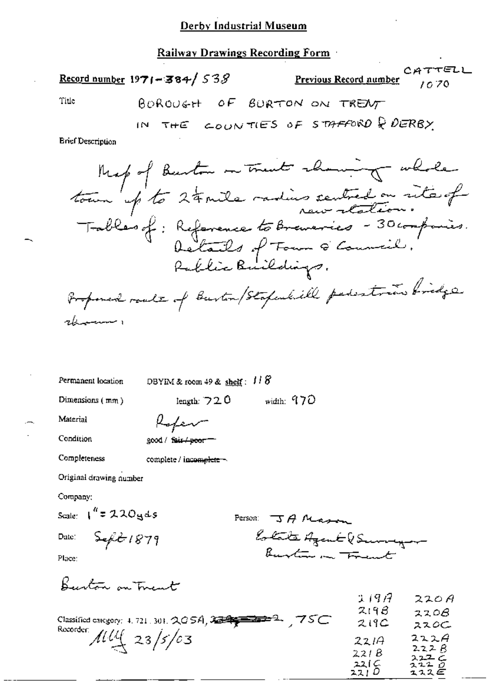## Derby Industrial Museum

## Railway Drawings Recording Form

|                          | CATTELL<br>Record number 1971 – 384/53 $S$<br><b>Previous Record number</b> 10.70 |  |
|--------------------------|-----------------------------------------------------------------------------------|--|
| Title                    | BOROUGH OF BURTON ON TRENT                                                        |  |
|                          | IN THE COUNTIES OF STAFFORD & DERBY                                               |  |
| <b>Brief Description</b> |                                                                                   |  |

**Brief Descrip** 

Mespof Burton ou traite change whole<br>tourn up to 24 mile radius sentred on site of<br>Tables of : Reference to Brancries - 30 comparis.<br>Rallie Buildings. Proposed roads of Buston/Stapulitie persitions bridge rbenner

Permanent location

DBYIM & room 49 &  $shett$ :  $118$ 

Dimensions  $(mm)$ 

width:  $970$ length:  $720$ 

Material

Condition

| good / fair <del>/peor</del> |  |
|------------------------------|--|

Raden

Completeness

complete / incomplete ~

Original drawing number

Company;

Scale:  $\int_0^R z \, 2.20$  g d s

Date:

Person  $J$  A Massey Estate Agent (Survey Burton in Frent

Place:

Beerton on Trent

 $5 - 1879$ 

|                                                                                 | J. J. 17 | 22O H         |
|---------------------------------------------------------------------------------|----------|---------------|
|                                                                                 | 219B     | 2208          |
| 75C<br>Classified category: 4, 721, 301, $QGSA$ , $2\equiv 2\equiv 2\equiv 2$ . | 219C     | ススのこ          |
| Recorder $114 \times 23/5/03$                                                   | 2214     | 222A          |
|                                                                                 | 2218     | 222B<br>スユユ ム |
|                                                                                 | 22I C    | ユユユ ロ         |
|                                                                                 | 221 D    | エススピ          |